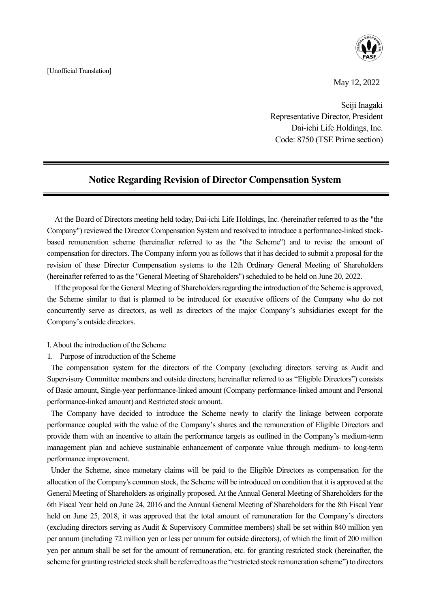[Unofficial Translation]



May 12, 2022

Seiji Inagaki Representative Director, President Dai-ichi Life Holdings, Inc. Code: 8750 (TSE Prime section)

## **Notice Regarding Revision of Director Compensation System**

j,

At the Board of Directors meeting held today, Dai-ichi Life Holdings, Inc. (hereinafter referred to as the "the Company") reviewed the Director Compensation System and resolved to introduce a performance-linked stockbased remuneration scheme (hereinafter referred to as the "the Scheme") and to revise the amount of compensation for directors. The Company inform you as follows that it has decided to submit a proposal for the revision of these Director Compensation systems to the 12th Ordinary General Meeting of Shareholders (hereinafter referred to as the "General Meeting of Shareholders") scheduled to be held on June 20, 2022.

If the proposal for the General Meeting of Shareholders regarding the introduction of the Scheme is approved, the Scheme similar to that is planned to be introduced for executive officers of the Company who do not concurrently serve as directors, as well as directors of the major Company's subsidiaries except for the Company's outside directors.

- Ⅰ. About the introduction of the Scheme
- 1. Purpose of introduction of the Scheme

The compensation system for the directors of the Company (excluding directors serving as Audit and Supervisory Committee members and outside directors; hereinafter referred to as "Eligible Directors") consists of Basic amount, Single-year performance-linked amount (Company performance-linked amount and Personal performance-linked amount) and Restricted stock amount.

The Company have decided to introduce the Scheme newly to clarify the linkage between corporate performance coupled with the value of the Company's shares and the remuneration of Eligible Directors and provide them with an incentive to attain the performance targets as outlined in the Company's medium-term management plan and achieve sustainable enhancement of corporate value through medium- to long-term performance improvement.

Under the Scheme, since monetary claims will be paid to the Eligible Directors as compensation for the allocation of the Company's common stock, the Scheme will be introduced on condition that it is approved at the General Meeting of Shareholders as originally proposed. At the Annual General Meeting of Shareholders for the 6th Fiscal Year held on June 24, 2016 and the Annual General Meeting of Shareholders for the 8th Fiscal Year held on June 25, 2018, it was approved that the total amount of remuneration for the Company's directors (excluding directors serving as Audit & Supervisory Committee members) shall be set within 840 million yen per annum (including 72 million yen or less per annum for outside directors), of which the limit of 200 million yen per annum shall be set for the amount of remuneration, etc. for granting restricted stock (hereinafter, the scheme for granting restricted stock shall be referred to as the "restricted stock remuneration scheme") to directors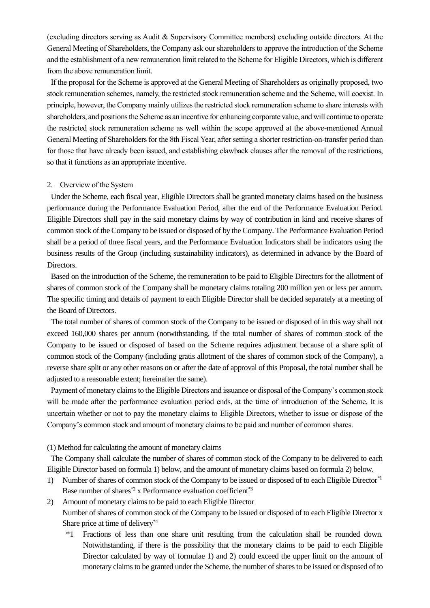(excluding directors serving as Audit & Supervisory Committee members) excluding outside directors. At the General Meeting of Shareholders, the Company ask our shareholders to approve the introduction of the Scheme and the establishment of a new remuneration limit related to the Scheme for Eligible Directors, which is different from the above remuneration limit.

If the proposal for the Scheme is approved at the General Meeting of Shareholders as originally proposed, two stock remuneration schemes, namely, the restricted stock remuneration scheme and the Scheme, will coexist. In principle, however, the Company mainly utilizes the restricted stock remuneration scheme to share interests with shareholders, and positions the Scheme as an incentive for enhancing corporate value, and will continue to operate the restricted stock remuneration scheme as well within the scope approved at the above-mentioned Annual General Meeting of Shareholders for the 8th Fiscal Year, after setting a shorter restriction-on-transfer period than for those that have already been issued, and establishing clawback clauses after the removal of the restrictions, so that it functions as an appropriate incentive.

## 2. Overview of the System

Under the Scheme, each fiscal year, Eligible Directors shall be granted monetary claims based on the business performance during the Performance Evaluation Period, after the end of the Performance Evaluation Period. Eligible Directors shall pay in the said monetary claims by way of contribution in kind and receive shares of common stock of the Company to be issued or disposed of by the Company. The Performance Evaluation Period shall be a period of three fiscal years, and the Performance Evaluation Indicators shall be indicators using the business results of the Group (including sustainability indicators), as determined in advance by the Board of Directors.

Based on the introduction of the Scheme, the remuneration to be paid to Eligible Directors for the allotment of shares of common stock of the Company shall be monetary claims totaling 200 million yen or less per annum. The specific timing and details of payment to each Eligible Director shall be decided separately at a meeting of the Board of Directors.

The total number of shares of common stock of the Company to be issued or disposed of in this way shall not exceed 160,000 shares per annum (notwithstanding, if the total number of shares of common stock of the Company to be issued or disposed of based on the Scheme requires adjustment because of a share split of common stock of the Company (including gratis allotment of the shares of common stock of the Company), a reverse share split or any other reasons on or after the date of approval of this Proposal, the total number shall be adjusted to a reasonable extent; hereinafter the same).

Payment of monetary claims to the Eligible Directors and issuance or disposal of the Company's common stock will be made after the performance evaluation period ends, at the time of introduction of the Scheme, It is uncertain whether or not to pay the monetary claims to Eligible Directors, whether to issue or dispose of the Company's common stock and amount of monetary claims to be paid and number of common shares.

(1) Method for calculating the amount of monetary claims

The Company shall calculate the number of shares of common stock of the Company to be delivered to each Eligible Director based on formula 1) below, and the amount of monetary claims based on formula 2) below.

1) Number of shares of common stock of the Company to be issued or disposed of to each Eligible Director\*1 Base number of shares<sup>\*2</sup> x Performance evaluation coefficient<sup>\*3</sup>

2) Amount of monetary claims to be paid to each Eligible Director Number of shares of common stock of the Company to be issued or disposed of to each Eligible Director x Share price at time of delivery\*4

\*1 Fractions of less than one share unit resulting from the calculation shall be rounded down. Notwithstanding, if there is the possibility that the monetary claims to be paid to each Eligible Director calculated by way of formulae 1) and 2) could exceed the upper limit on the amount of monetary claims to be granted under the Scheme, the number of shares to be issued or disposed of to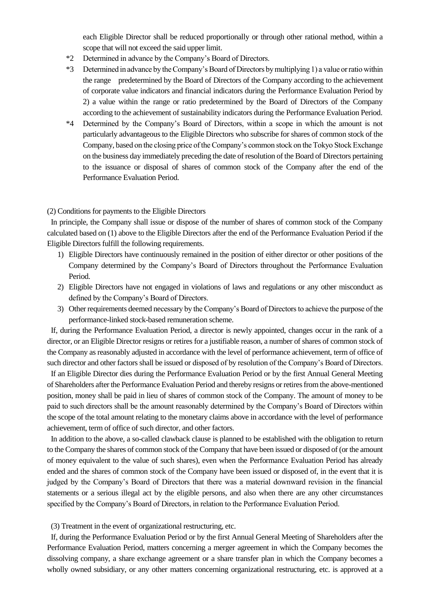each Eligible Director shall be reduced proportionally or through other rational method, within a scope that will not exceed the said upper limit.

- \*2 Determined in advance by the Company's Board of Directors.
- \*3 Determined in advance by the Company's Board of Directors by multiplying 1) a value or ratio within the range predetermined by the Board of Directors of the Company according to the achievement of corporate value indicators and financial indicators during the Performance Evaluation Period by 2) a value within the range or ratio predetermined by the Board of Directors of the Company according to the achievement of sustainability indicators during the Performance Evaluation Period.
- \*4 Determined by the Company's Board of Directors, within a scope in which the amount is not particularly advantageous to the Eligible Directors who subscribe for shares of common stock of the Company, based on the closing price of the Company's common stock on the Tokyo Stock Exchange on the business day immediately preceding the date of resolution of the Board of Directors pertaining to the issuance or disposal of shares of common stock of the Company after the end of the Performance Evaluation Period.

## (2) Conditions for payments to the Eligible Directors

In principle, the Company shall issue or dispose of the number of shares of common stock of the Company calculated based on (1) above to the Eligible Directors after the end of the Performance Evaluation Period if the Eligible Directors fulfill the following requirements.

- 1) Eligible Directors have continuously remained in the position of either director or other positions of the Company determined by the Company's Board of Directors throughout the Performance Evaluation Period.
- 2) Eligible Directors have not engaged in violations of laws and regulations or any other misconduct as defined by the Company's Board of Directors.
- 3) Other requirements deemed necessary by the Company's Board of Directors to achieve the purpose of the performance-linked stock-based remuneration scheme.

If, during the Performance Evaluation Period, a director is newly appointed, changes occur in the rank of a director, or an Eligible Director resigns or retires for a justifiable reason, a number of shares of common stock of the Company as reasonably adjusted in accordance with the level of performance achievement, term of office of such director and other factors shall be issued or disposed of by resolution of the Company's Board of Directors.

If an Eligible Director dies during the Performance Evaluation Period or by the first Annual General Meeting of Shareholders after the Performance Evaluation Period and thereby resigns or retires from the above-mentioned position, money shall be paid in lieu of shares of common stock of the Company. The amount of money to be paid to such directors shall be the amount reasonably determined by the Company's Board of Directors within the scope of the total amount relating to the monetary claims above in accordance with the level of performance achievement, term of office of such director, and other factors.

In addition to the above, a so-called clawback clause is planned to be established with the obligation to return to the Company the shares of common stock of the Company that have been issued or disposed of (or the amount of money equivalent to the value of such shares), even when the Performance Evaluation Period has already ended and the shares of common stock of the Company have been issued or disposed of, in the event that it is judged by the Company's Board of Directors that there was a material downward revision in the financial statements or a serious illegal act by the eligible persons, and also when there are any other circumstances specified by the Company's Board of Directors, in relation to the Performance Evaluation Period.

(3) Treatment in the event of organizational restructuring, etc.

If, during the Performance Evaluation Period or by the first Annual General Meeting of Shareholders after the Performance Evaluation Period, matters concerning a merger agreement in which the Company becomes the dissolving company, a share exchange agreement or a share transfer plan in which the Company becomes a wholly owned subsidiary, or any other matters concerning organizational restructuring, etc. is approved at a